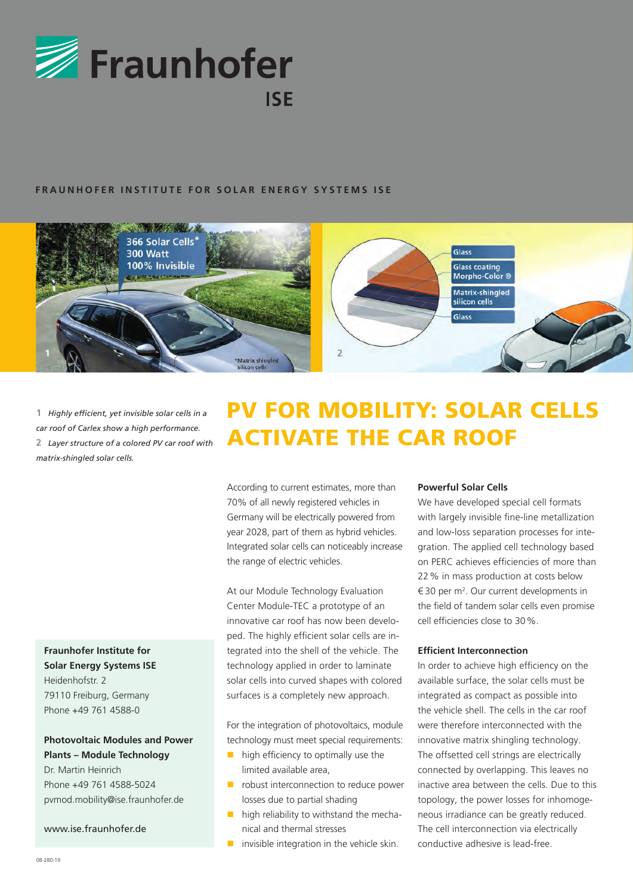

# **FRAUNHOFER INSTITUTE FOR SOLAR ENERGY SYSTEMS ISE**



**1**  *Highly efficient, yet invisible solar cells in a car roof of Carlex show a high performance.* **2**  *Layer structure of a colored PV car roof with matrix-shingled solar cells.*

# **Fraunhofer Institute for Solar Energy Systems ISE**

Heidenhofstr. 2 79110 Freiburg, Germany Phone +49 761 4588-0

# **Photovoltaic Modules and Power Plants – Module Technology**

Dr. Martin Heinrich Phone +49 761 4588-5024 pvmod.mobility@ise.fraunhofer.de

www.ise.fraunhofer.de

# PV FOR MOBILITY: SOLAR CELLS ACTIVATE THE CAR ROOF

According to current estimates, more than 70% of all newly registered vehicles in Germany will be electrically powered from year 2028, part of them as hybrid vehicles. Integrated solar cells can noticeably increase the range of electric vehicles.

At our Module Technology Evaluation Center Module-TEC a prototype of an innovative car roof has now been developed. The highly efficient solar cells are integrated into the shell of the vehicle. The technology applied in order to laminate solar cells into curved shapes with colored surfaces is a completely new approach.

For the integration of photovoltaics, module technology must meet special requirements:

- $\blacksquare$  high efficiency to optimally use the limited available area,
- **P** robust interconnection to reduce power losses due to partial shading
- **high reliability to withstand the mecha**nical and thermal stresses
- invisible integration in the vehicle skin.

# **Powerful Solar Cells**

We have developed special cell formats with largely invisible fine-line metallization and low-loss separation processes for integration. The applied cell technology based on PERC achieves efficiencies of more than 22% in mass production at costs below  $\epsilon$  30 per m<sup>2</sup>. Our current developments in the field of tandem solar cells even promise cell efficiencies close to 30%.

## **Efficient Interconnection**

In order to achieve high efficiency on the available surface, the solar cells must be integrated as compact as possible into the vehicle shell. The cells in the car roof were therefore interconnected with the innovative matrix shingling technology. The offsetted cell strings are electrically connected by overlapping. This leaves no inactive area between the cells. Due to this topology, the power losses for inhomogeneous irradiance can be greatly reduced. The cell interconnection via electrically conductive adhesive is lead-free.